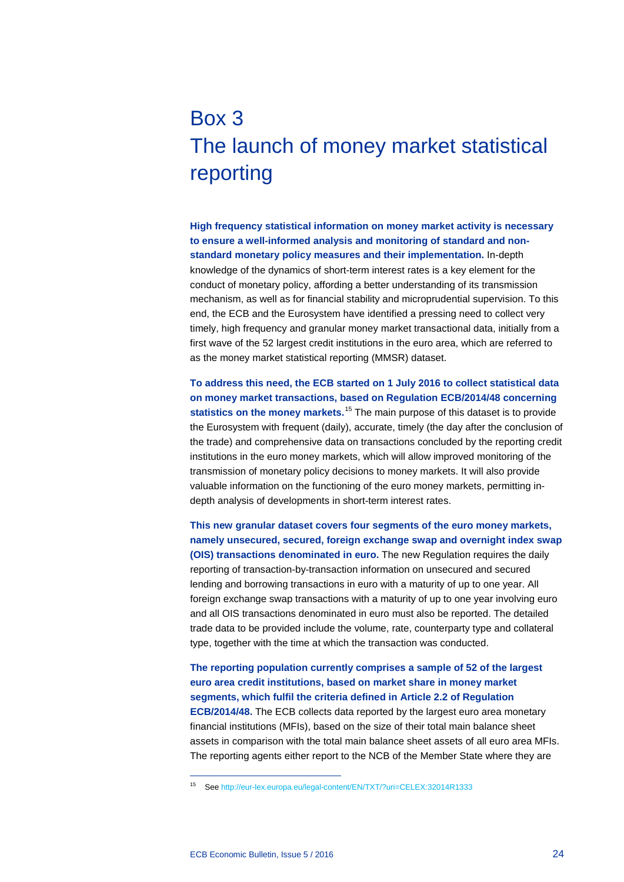## Box 3 The launch of money market statistical reporting

**High frequency statistical information on money market activity is necessary to ensure a well-informed analysis and monitoring of standard and nonstandard monetary policy measures and their implementation.** In-depth knowledge of the dynamics of short-term interest rates is a key element for the conduct of monetary policy, affording a better understanding of its transmission mechanism, as well as for financial stability and microprudential supervision. To this end, the ECB and the Eurosystem have identified a pressing need to collect very timely, high frequency and granular money market transactional data, initially from a first wave of the 52 largest credit institutions in the euro area, which are referred to as the money market statistical reporting (MMSR) dataset.

**To address this need, the ECB started on 1 July 2016 to collect statistical data on money market transactions, based on Regulation ECB/2014/48 concerning**  statistics on the money markets.<sup>[15](#page-0-0)</sup> The main purpose of this dataset is to provide the Eurosystem with frequent (daily), accurate, timely (the day after the conclusion of the trade) and comprehensive data on transactions concluded by the reporting credit institutions in the euro money markets, which will allow improved monitoring of the transmission of monetary policy decisions to money markets. It will also provide valuable information on the functioning of the euro money markets, permitting indepth analysis of developments in short-term interest rates.

**This new granular dataset covers four segments of the euro money markets, namely unsecured, secured, foreign exchange swap and overnight index swap (OIS) transactions denominated in euro.** The new Regulation requires the daily reporting of transaction-by-transaction information on unsecured and secured lending and borrowing transactions in euro with a maturity of up to one year. All foreign exchange swap transactions with a maturity of up to one year involving euro and all OIS transactions denominated in euro must also be reported. The detailed trade data to be provided include the volume, rate, counterparty type and collateral type, together with the time at which the transaction was conducted.

**The reporting population currently comprises a sample of 52 of the largest euro area credit institutions, based on market share in money market segments, which fulfil the criteria defined in Article 2.2 of Regulation ECB/2014/48.** The ECB collects data reported by the largest euro area monetary financial institutions (MFIs), based on the size of their total main balance sheet assets in comparison with the total main balance sheet assets of all euro area MFIs. The reporting agents either report to the NCB of the Member State where they are

-

<span id="page-0-0"></span><sup>15</sup> Se[e http://eur-lex.europa.eu/legal-content/EN/TXT/?uri=CELEX:32014R1333](http://eur-lex.europa.eu/legal-content/EN/TXT/?uri=CELEX:32014R1333)